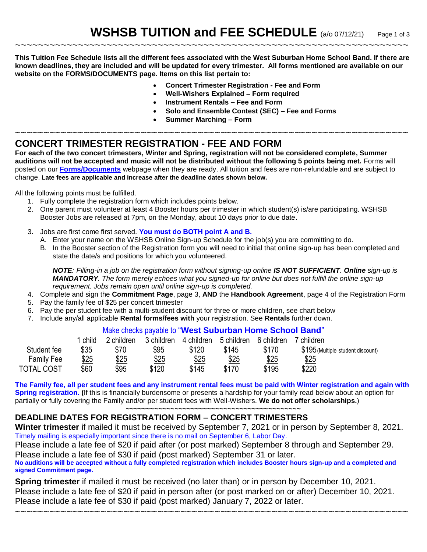**This Tuition Fee Schedule lists all the different fees associated with the West Suburban Home School Band. If there are known deadlines, they are included and will be updated for every trimester. All forms mentioned are available on our website on the FORMS/DOCUMENTS page. Items on this list pertain to:**

~~~~~~~~~~~~~~~~~~~~~~~~~~~~~~~~~~~~~~~~~~~~~~~~~~~~~~~~~~~~~~~~~~~~~

- **Concert Trimester Registration - Fee and Form**
- **Well-Wishers Explained – Form required**
- **Instrument Rentals – Fee and Form**
- **Solo and Ensemble Contest (SEC) – Fee and Forms**
- **Summer Marching – Form**

### ~~~~~~~~~~~~~~~~~~~~~~~~~~~~~~~~~~~~~~~~~~~~~~~~~~~~~~~~~~~~~~~~~~~~~ **CONCERT TRIMESTER REGISTRATION - FEE AND FORM**

**For each of the two concert trimesters, Winter and Spring, registration will not be considered complete, Summer auditions will not be accepted and music will not be distributed without the following 5 points being met.** Forms will posted on our **[Forms/Documents](http://www.wshsb.com/forms.htm)** webpage when they are ready. All tuition and fees are non-refundable and are subject to change. **Late fees are applicable and increase after the deadline dates shown below.**

All the following points must be fulfilled.

- 1. Fully complete the registration form which includes points below.
- 2. One parent must volunteer at least 4 Booster hours per trimester in which student(s) is/are participating. WSHSB Booster Jobs are released at 7pm, on the Monday, about 10 days prior to due date.
- 3. Jobs are first come first served. **You must do BOTH point A and B.**
	- A. Enter your name on the WSHSB Online Sign-up Schedule for the job(s) you are committing to do.
	- B. In the Booster section of the Registration form you will need to initial that online sign-up has been completed and state the date/s and positions for which you volunteered.

*NOTE: Filling-in a job on the registration form without signing-up online IS NOT SUFFICIENT. Online sign-up is MANDATORY. The form merely echoes what you signed-up for online but does not fulfill the online sign-up requirement. Jobs remain open until online sign-up is completed.*

- 4. Complete and sign the **Commitment Page**, page 3, **AND** the **Handbook Agreement**, page 4 of the Registration Form
- 5. Pay the family fee of \$25 per concert trimester
- 6. Pay the per student fee with a multi-student discount for three or more children, see chart below
- 7. Include any/all applicable **Rental forms/fees with** your registration. See **Rentals** further down.

#### Make checks payable to "**West Suburban Home School Band**"

|                   | child | 2 children | 3 children | 4 children | 5 children | 6 children | children                          |
|-------------------|-------|------------|------------|------------|------------|------------|-----------------------------------|
| Student fee       | \$35  | \$70       | \$95       | \$120      | \$145      | \$170      | \$195 (Multiple student discount) |
| <b>Family Fee</b> | \$25  | \$25       | \$25       | \$25       | \$25       | \$25       | \$25                              |
| <b>TOTAL COST</b> | \$60  | \$95       | \$120      | \$145      | \$170      | \$195      | \$220                             |

**The Family fee, all per student fees and any instrument rental fees must be paid with Winter registration and again with Spring registration. (**If this is financially burdensome or presents a hardship for your family read below about an option for partially or fully covering the Family and/or per student fees with Well-Wishers. **We do not offer scholarships.**)

**~~~~~~~~~~~~~~~~~~~~~~~~~~~~~~~~~~~~~~~~~~~**

### **DEADLINE DATES FOR REGISTRATION FORM – CONCERT TRIMESTERS**

**Winter trimester** if mailed it must be received by September 7, 2021 or in person by September 8, 2021. Timely mailing is especially important since there is no mail on September 6, Labor Day.

Please include a late fee of \$20 if paid after (or post marked) September 8 through and September 29. Please include a late fee of \$30 if paid (post marked) September 31 or later.

**No auditions will be accepted without a fully completed registration which includes Booster hours sign-up and a completed and signed Commitment page.** 

**Spring trimester** if mailed it must be received (no later than) or in person by December 10, 2021. Please include a late fee of \$20 if paid in person after (or post marked on or after) December 10, 2021. Please include a late fee of \$30 if paid (post marked) January 7, 2022 or later.

~~~~~~~~~~~~~~~~~~~~~~~~~~~~~~~~~~~~~~~~~~~~~~~~~~~~~~~~~~~~~~~~~~~~~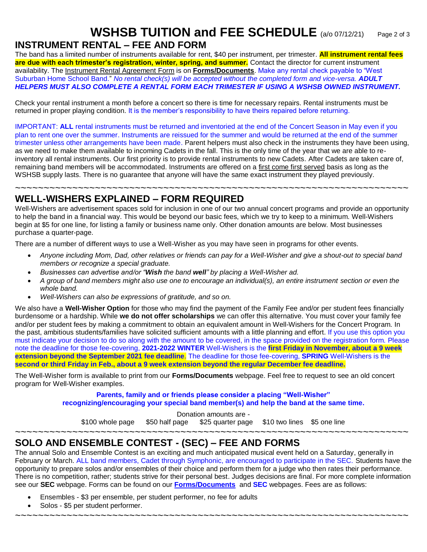# **WSHSB TUITION and FEE SCHEDULE** (a/o 07/12/21) Page 2 of 3

## **INSTRUMENT RENTAL – FEE AND FORM**

The band has a limited number of instruments available for rent, \$40 per instrument, per trimester. **All instrument rental fees are due with each trimester's registration, winter, spring, and summer.** Contact the director for current instrument availability. The Instrument Rental Agreement Form is on **[Forms/Documents](http://www.wshsb.com/forms.htm)**. Make any rental check payable to "West Suburban Home School Band." *No rental check(s) will be accepted without the completed form and vice-versa. ADULT HELPERS MUST ALSO COMPLETE A RENTAL FORM EACH TRIMESTER IF USING A WSHSB OWNED INSTRUMENT.*

Check your rental instrument a month before a concert so there is time for necessary repairs. Rental instruments must be returned in proper playing condition. It is the member's responsibility to have theirs repaired before returning.

IMPORTANT: **ALL** rental instruments must be returned and inventoried at the end of the Concert Season in May even if you plan to rent one over the summer. Instruments are reissued for the summer and would be returned at the end of the summer trimester unless other arrangements have been made. Parent helpers must also check in the instruments they have been using, as we need to make them available to incoming Cadets in the fall. This is the only time of the year that we are able to reinventory all rental instruments. Our first priority is to provide rental instruments to new Cadets*.* After Cadets are taken care of, remaining band members will be accommodated. Instruments are offered on a first come first served basis as long as the WSHSB supply lasts. There is no quarantee that anyone will have the same exact instrument they played previously.

~~~~~~~~~~~~~~~~~~~~~~~~~~~~~~~~~~~~~~~~~~~~~~~~~~~~~~~~~~~~~~~~~~~~~ **WELL-WISHERS EXPLAINED – FORM REQUIRED**

Well-Wishers are advertisement spaces sold for inclusion in one of our two annual concert programs and provide an opportunity to help the band in a financial way. This would be beyond our basic fees, which we try to keep to a minimum. Well-Wishers begin at \$5 for one line, for listing a family or business name only. Other donation amounts are below. Most businesses purchase a quarter-page.

There are a number of different ways to use a Well-Wisher as you may have seen in programs for other events.

- *Anyone including Mom, Dad, other relatives or friends can pay for a Well-Wisher and give a shout-out to special band members or recognize a special graduate.*
- *Businesses can advertise and/or "Wish the band well" by placing a Well-Wisher ad.*
- *A group of band members might also use one to encourage an individual(s), an entire instrument section or even the whole band.*
- *Well-Wishers can also be expressions of gratitude, and so on.*

We also have a **Well-Wisher Option** for those who may find the payment of the Family Fee and/or per student fees financially burdensome or a hardship. While **we do not offer scholarships** we can offer this alternative. You must cover your family fee and/or per student fees by making a commitment to obtain an equivalent amount in Well-Wishers for the Concert Program. In the past, ambitious students/families have solicited sufficient amounts with a little planning and effort. If you use this option you must indicate your decision to do so along with the amount to be covered, in the space provided on the registration form. Please note the deadline for those fee-covering, **2021-2022 WINTER** Well-Wishers is the **first Friday in November, about a 9 week extension beyond the September 2021 fee deadline**. The deadline for those fee-covering, **SPRING** Well-Wishers is the **second or third Friday in Feb., about a 9 week extension beyond the regular December fee deadline.**

The Well-Wisher form is available to print from our **Forms/Documents** webpage. Feel free to request to see an old concert program for Well-Wisher examples.

> **Parents, family and or friends please consider a placing "Well-Wisher" recognizing/encouraging your special band member(s) and help the band at the same time.**

> > Donation amounts are -

\$100 whole page \$50 half page \$25 quarter page \$10 two lines \$5 one line

~~~~~~~~~~~~~~~~~~~~~~~~~~~~~~~~~~~~~~~~~~~~~~~~~~~~~~~~~~~~~~~~~~~~~

## **SOLO AND ENSEMBLE CONTEST - (SEC) – FEE AND FORMS**

The annual Solo and Ensemble Contest is an exciting and much anticipated musical event held on a Saturday, generally in February or March. ALL band members, Cadet through Symphonic, are encouraged to participate in the SEC. Students have the opportunity to prepare solos and/or ensembles of their choice and perform them for a judge who then rates their performance. There is no competition, rather; students strive for their personal best. Judges decisions are final. For more complete information see our **SEC** webpage. Forms can be found on our **[Forms/Documents](http://www.wshsb.com/forms.htm)** and **SEC** webpages. Fees are as follows:

~~~~~~~~~~~~~~~~~~~~~~~~~~~~~~~~~~~~~~~~~~~~~~~~~~~~~~~~~~~~~~~~~~~~~

- Ensembles \$3 per ensemble, per student performer, no fee for adults
- Solos \$5 per student performer.